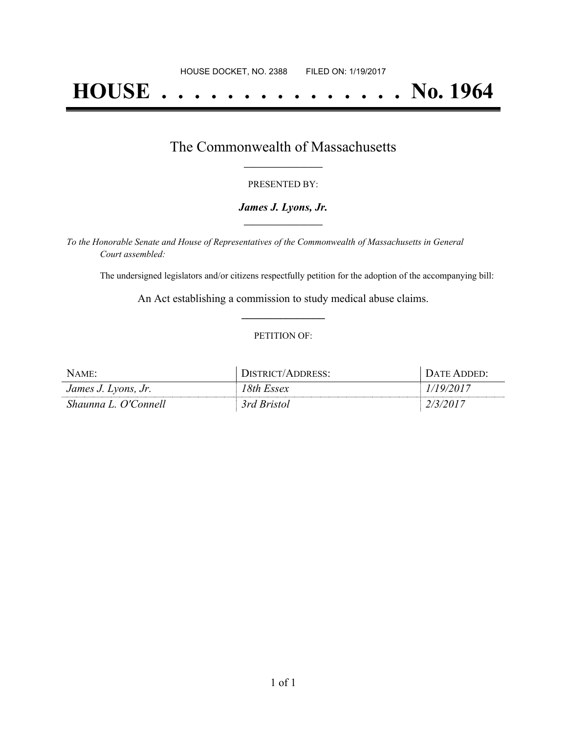# **HOUSE . . . . . . . . . . . . . . . No. 1964**

### The Commonwealth of Massachusetts **\_\_\_\_\_\_\_\_\_\_\_\_\_\_\_\_\_**

#### PRESENTED BY:

#### *James J. Lyons, Jr.* **\_\_\_\_\_\_\_\_\_\_\_\_\_\_\_\_\_**

*To the Honorable Senate and House of Representatives of the Commonwealth of Massachusetts in General Court assembled:*

The undersigned legislators and/or citizens respectfully petition for the adoption of the accompanying bill:

An Act establishing a commission to study medical abuse claims. **\_\_\_\_\_\_\_\_\_\_\_\_\_\_\_**

#### PETITION OF:

| NAME:                | L/ADDRESS:<br>$T^{\text{ref}}$ $\Gamma$ | $\Delta T$ F |
|----------------------|-----------------------------------------|--------------|
| James J. Lyons, Jr.  | 8th Essex!                              | U            |
| Shaunna L. O'Connell | 3rd Bristol                             |              |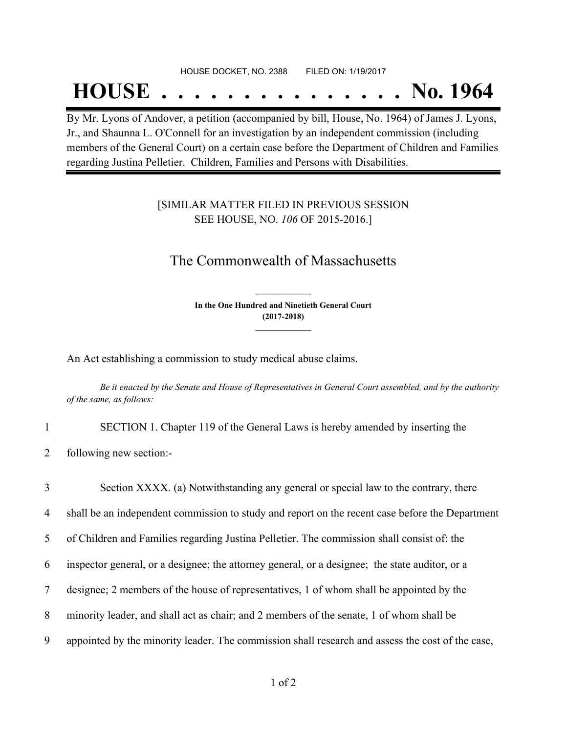#### HOUSE DOCKET, NO. 2388 FILED ON: 1/19/2017

## **HOUSE . . . . . . . . . . . . . . . No. 1964**

By Mr. Lyons of Andover, a petition (accompanied by bill, House, No. 1964) of James J. Lyons, Jr., and Shaunna L. O'Connell for an investigation by an independent commission (including members of the General Court) on a certain case before the Department of Children and Families regarding Justina Pelletier. Children, Families and Persons with Disabilities.

#### [SIMILAR MATTER FILED IN PREVIOUS SESSION SEE HOUSE, NO. *106* OF 2015-2016.]

## The Commonwealth of Massachusetts

**In the One Hundred and Ninetieth General Court (2017-2018) \_\_\_\_\_\_\_\_\_\_\_\_\_\_\_**

**\_\_\_\_\_\_\_\_\_\_\_\_\_\_\_**

An Act establishing a commission to study medical abuse claims.

Be it enacted by the Senate and House of Representatives in General Court assembled, and by the authority *of the same, as follows:*

1 SECTION 1. Chapter 119 of the General Laws is hereby amended by inserting the

2 following new section:-

 Section XXXX. (a) Notwithstanding any general or special law to the contrary, there shall be an independent commission to study and report on the recent case before the Department of Children and Families regarding Justina Pelletier. The commission shall consist of: the inspector general, or a designee; the attorney general, or a designee; the state auditor, or a designee; 2 members of the house of representatives, 1 of whom shall be appointed by the minority leader, and shall act as chair; and 2 members of the senate, 1 of whom shall be appointed by the minority leader. The commission shall research and assess the cost of the case,